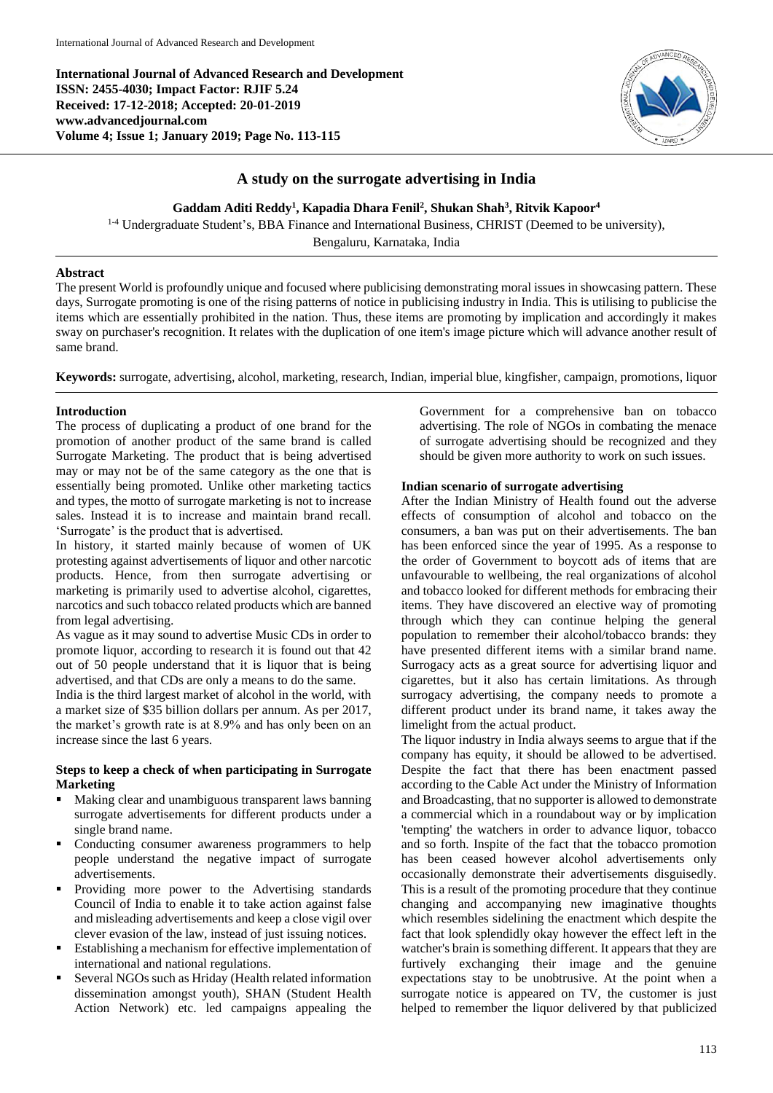**International Journal of Advanced Research and Development ISSN: 2455-4030; Impact Factor: RJIF 5.24 Received: 17-12-2018; Accepted: 20-01-2019 www.advancedjournal.com Volume 4; Issue 1; January 2019; Page No. 113-115**



# **A study on the surrogate advertising in India**

**Gaddam Aditi Reddy<sup>1</sup> , Kapadia Dhara Fenil<sup>2</sup> , Shukan Shah<sup>3</sup> , Ritvik Kapoor<sup>4</sup>**

<sup>1-4</sup> Undergraduate Student's, BBA Finance and International Business, CHRIST (Deemed to be university), Bengaluru, Karnataka, India

#### **Abstract**

The present World is profoundly unique and focused where publicising demonstrating moral issues in showcasing pattern. These days, Surrogate promoting is one of the rising patterns of notice in publicising industry in India. This is utilising to publicise the items which are essentially prohibited in the nation. Thus, these items are promoting by implication and accordingly it makes sway on purchaser's recognition. It relates with the duplication of one item's image picture which will advance another result of same brand.

**Keywords:** surrogate, advertising, alcohol, marketing, research, Indian, imperial blue, kingfisher, campaign, promotions, liquor

### **Introduction**

The process of duplicating a product of one brand for the promotion of another product of the same brand is called Surrogate Marketing. The product that is being advertised may or may not be of the same category as the one that is essentially being promoted. Unlike other marketing tactics and types, the motto of surrogate marketing is not to increase sales. Instead it is to increase and maintain brand recall. 'Surrogate' is the product that is advertised.

In history, it started mainly because of women of UK protesting against advertisements of liquor and other narcotic products. Hence, from then surrogate advertising or marketing is primarily used to advertise alcohol, cigarettes, narcotics and such tobacco related products which are banned from legal advertising.

As vague as it may sound to advertise Music CDs in order to promote liquor, according to research it is found out that 42 out of 50 people understand that it is liquor that is being advertised, and that CDs are only a means to do the same. India is the third largest market of alcohol in the world, with

a market size of \$35 billion dollars per annum. As per 2017, the market's growth rate is at 8.9% and has only been on an increase since the last 6 years.

## **Steps to keep a check of when participating in Surrogate Marketing**

- **Making clear and unambiguous transparent laws banning** surrogate advertisements for different products under a single brand name.
- Conducting consumer awareness programmers to help people understand the negative impact of surrogate advertisements.
- Providing more power to the Advertising standards Council of India to enable it to take action against false and misleading advertisements and keep a close vigil over clever evasion of the law, instead of just issuing notices.
- Establishing a mechanism for effective implementation of international and national regulations.
- Several NGOs such as Hriday (Health related information dissemination amongst youth), SHAN (Student Health Action Network) etc. led campaigns appealing the

Government for a comprehensive ban on tobacco advertising. The role of NGOs in combating the menace of surrogate advertising should be recognized and they should be given more authority to work on such issues.

## **Indian scenario of surrogate advertising**

After the Indian Ministry of Health found out the adverse effects of consumption of alcohol and tobacco on the consumers, a ban was put on their advertisements. The ban has been enforced since the year of 1995. As a response to the order of Government to boycott ads of items that are unfavourable to wellbeing, the real organizations of alcohol and tobacco looked for different methods for embracing their items. They have discovered an elective way of promoting through which they can continue helping the general population to remember their alcohol/tobacco brands: they have presented different items with a similar brand name. Surrogacy acts as a great source for advertising liquor and cigarettes, but it also has certain limitations. As through surrogacy advertising, the company needs to promote a different product under its brand name, it takes away the limelight from the actual product.

The liquor industry in India always seems to argue that if the company has equity, it should be allowed to be advertised. Despite the fact that there has been enactment passed according to the Cable Act under the Ministry of Information and Broadcasting, that no supporter is allowed to demonstrate a commercial which in a roundabout way or by implication 'tempting' the watchers in order to advance liquor, tobacco and so forth. Inspite of the fact that the tobacco promotion has been ceased however alcohol advertisements only occasionally demonstrate their advertisements disguisedly. This is a result of the promoting procedure that they continue changing and accompanying new imaginative thoughts which resembles sidelining the enactment which despite the fact that look splendidly okay however the effect left in the watcher's brain is something different. It appears that they are furtively exchanging their image and the genuine expectations stay to be unobtrusive. At the point when a surrogate notice is appeared on TV, the customer is just helped to remember the liquor delivered by that publicized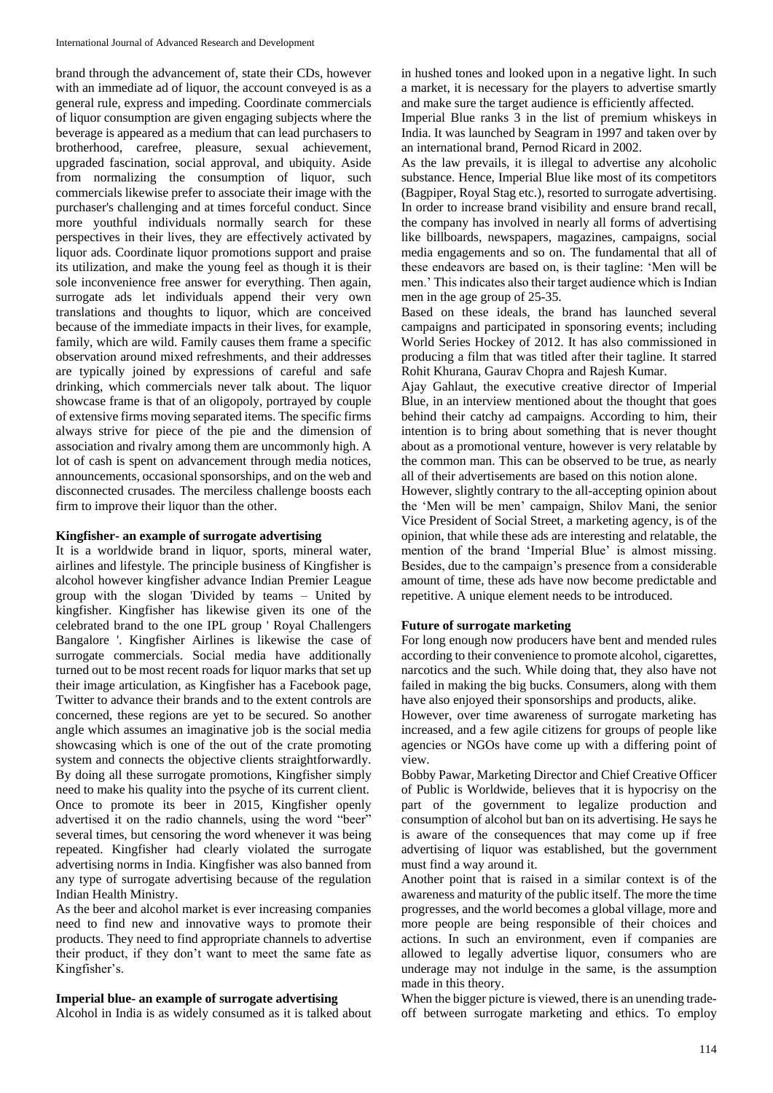brand through the advancement of, state their CDs, however with an immediate ad of liquor, the account conveyed is as a general rule, express and impeding. Coordinate commercials of liquor consumption are given engaging subjects where the beverage is appeared as a medium that can lead purchasers to brotherhood, carefree, pleasure, sexual achievement, upgraded fascination, social approval, and ubiquity. Aside from normalizing the consumption of liquor, such commercials likewise prefer to associate their image with the purchaser's challenging and at times forceful conduct. Since more youthful individuals normally search for these perspectives in their lives, they are effectively activated by liquor ads. Coordinate liquor promotions support and praise its utilization, and make the young feel as though it is their sole inconvenience free answer for everything. Then again, surrogate ads let individuals append their very own translations and thoughts to liquor, which are conceived because of the immediate impacts in their lives, for example, family, which are wild. Family causes them frame a specific observation around mixed refreshments, and their addresses are typically joined by expressions of careful and safe drinking, which commercials never talk about. The liquor showcase frame is that of an oligopoly, portrayed by couple of extensive firms moving separated items. The specific firms always strive for piece of the pie and the dimension of association and rivalry among them are uncommonly high. A lot of cash is spent on advancement through media notices, announcements, occasional sponsorships, and on the web and disconnected crusades. The merciless challenge boosts each firm to improve their liquor than the other.

## **Kingfisher- an example of surrogate advertising**

It is a worldwide brand in liquor, sports, mineral water, airlines and lifestyle. The principle business of Kingfisher is alcohol however kingfisher advance Indian Premier League group with the slogan 'Divided by teams – United by kingfisher. Kingfisher has likewise given its one of the celebrated brand to the one IPL group ' Royal Challengers Bangalore '. Kingfisher Airlines is likewise the case of surrogate commercials. Social media have additionally turned out to be most recent roads for liquor marks that set up their image articulation, as Kingfisher has a Facebook page, Twitter to advance their brands and to the extent controls are concerned, these regions are yet to be secured. So another angle which assumes an imaginative job is the social media showcasing which is one of the out of the crate promoting system and connects the objective clients straightforwardly. By doing all these surrogate promotions, Kingfisher simply need to make his quality into the psyche of its current client. Once to promote its beer in 2015, Kingfisher openly advertised it on the radio channels, using the word "beer" several times, but censoring the word whenever it was being repeated. Kingfisher had clearly violated the surrogate advertising norms in India. Kingfisher was also banned from any type of surrogate advertising because of the regulation Indian Health Ministry.

As the beer and alcohol market is ever increasing companies need to find new and innovative ways to promote their products. They need to find appropriate channels to advertise their product, if they don't want to meet the same fate as Kingfisher's.

### **Imperial blue- an example of surrogate advertising**

Alcohol in India is as widely consumed as it is talked about

in hushed tones and looked upon in a negative light. In such a market, it is necessary for the players to advertise smartly and make sure the target audience is efficiently affected.

Imperial Blue ranks 3 in the list of premium whiskeys in India. It was launched by Seagram in 1997 and taken over by an international brand, Pernod Ricard in 2002.

As the law prevails, it is illegal to advertise any alcoholic substance. Hence, Imperial Blue like most of its competitors (Bagpiper, Royal Stag etc.), resorted to surrogate advertising. In order to increase brand visibility and ensure brand recall, the company has involved in nearly all forms of advertising like billboards, newspapers, magazines, campaigns, social media engagements and so on. The fundamental that all of these endeavors are based on, is their tagline: 'Men will be men.' This indicates also their target audience which is Indian men in the age group of 25-35.

Based on these ideals, the brand has launched several campaigns and participated in sponsoring events; including World Series Hockey of 2012. It has also commissioned in producing a film that was titled after their tagline. It starred Rohit Khurana, Gaurav Chopra and Rajesh Kumar.

Ajay Gahlaut, the executive creative director of Imperial Blue, in an interview mentioned about the thought that goes behind their catchy ad campaigns. According to him, their intention is to bring about something that is never thought about as a promotional venture, however is very relatable by the common man. This can be observed to be true, as nearly all of their advertisements are based on this notion alone.

However, slightly contrary to the all-accepting opinion about the 'Men will be men' campaign, Shilov Mani, the senior Vice President of Social Street, a marketing agency, is of the opinion, that while these ads are interesting and relatable, the mention of the brand 'Imperial Blue' is almost missing. Besides, due to the campaign's presence from a considerable amount of time, these ads have now become predictable and repetitive. A unique element needs to be introduced.

#### **Future of surrogate marketing**

For long enough now producers have bent and mended rules according to their convenience to promote alcohol, cigarettes, narcotics and the such. While doing that, they also have not failed in making the big bucks. Consumers, along with them have also enjoyed their sponsorships and products, alike.

However, over time awareness of surrogate marketing has increased, and a few agile citizens for groups of people like agencies or NGOs have come up with a differing point of view.

Bobby Pawar, Marketing Director and Chief Creative Officer of Public is Worldwide, believes that it is hypocrisy on the part of the government to legalize production and consumption of alcohol but ban on its advertising. He says he is aware of the consequences that may come up if free advertising of liquor was established, but the government must find a way around it.

Another point that is raised in a similar context is of the awareness and maturity of the public itself. The more the time progresses, and the world becomes a global village, more and more people are being responsible of their choices and actions. In such an environment, even if companies are allowed to legally advertise liquor, consumers who are underage may not indulge in the same, is the assumption made in this theory.

When the bigger picture is viewed, there is an unending tradeoff between surrogate marketing and ethics. To employ